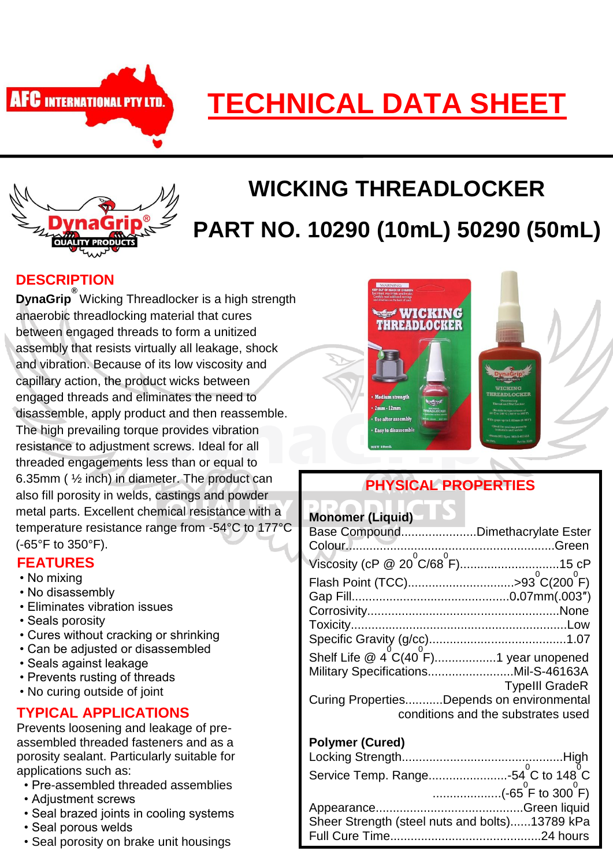

# **TECHNICAL DATA SHEET**



# **WICKING THREADLOCKER PART NO. 10290 (10mL) 50290 (50mL)**

#### **DESCRIPTION**

**DynaGrip ®** Wicking Threadlocker is a high strength anaerobic threadlocking material that cures between engaged threads to form a unitized assembly that resists virtually all leakage, shock and vibration. Because of its low viscosity and capillary action, the product wicks between engaged threads and eliminates the need to disassemble, apply product and then reassemble. The high prevailing torque provides vibration resistance to adjustment screws. Ideal for all threaded engagements less than or equal to 6.35mm ( ½ inch) in diameter. The product can also fill porosity in welds, castings and powder metal parts. Excellent chemical resistance with a temperature resistance range from -54°C to 177°C (-65°F to 350°F).

#### **FEATURES**

- No mixing
- No disassembly
- Eliminates vibration issues
- Seals porosity
- Cures without cracking or shrinking
- Can be adjusted or disassembled
- Seals against leakage
- Prevents rusting of threads
- No curing outside of joint

#### **TYPICAL APPLICATIONS**

Prevents loosening and leakage of preassembled threaded fasteners and as a porosity sealant. Particularly suitable for applications such as:

- Pre-assembled threaded assemblies
- Adjustment screws
- Seal brazed joints in cooling systems
- Seal porous welds
- Seal porosity on brake unit housings



## **PHYSICAL PROPERTIES**

| <b>Monomer (Liquid)</b>                                   |                                    |
|-----------------------------------------------------------|------------------------------------|
| Base CompoundDimethacrylate Ester                         |                                    |
|                                                           |                                    |
| Viscosity (cP @ 20 <sup>°</sup> C/68 <sup>°</sup> F)15 cP |                                    |
| Flash Point (TCC)>93 <sup>°</sup> C(200 <sup>°</sup> F)   |                                    |
|                                                           |                                    |
|                                                           |                                    |
|                                                           |                                    |
|                                                           |                                    |
| Shelf Life $\omega_4^0C(40^0F)$ 1 year unopened           |                                    |
| Military SpecificationsMil-S-46163A                       |                                    |
|                                                           | <b>Typelll GradeR</b>              |
| Curing PropertiesDepends on environmental                 |                                    |
|                                                           | conditions and the substrates used |

#### **Polymer (Cured)**

| (-65 <sup>°</sup> F to 300 <sup>°</sup> F)     |
|------------------------------------------------|
|                                                |
| Sheer Strength (steel nuts and bolts)13789 kPa |
|                                                |
|                                                |